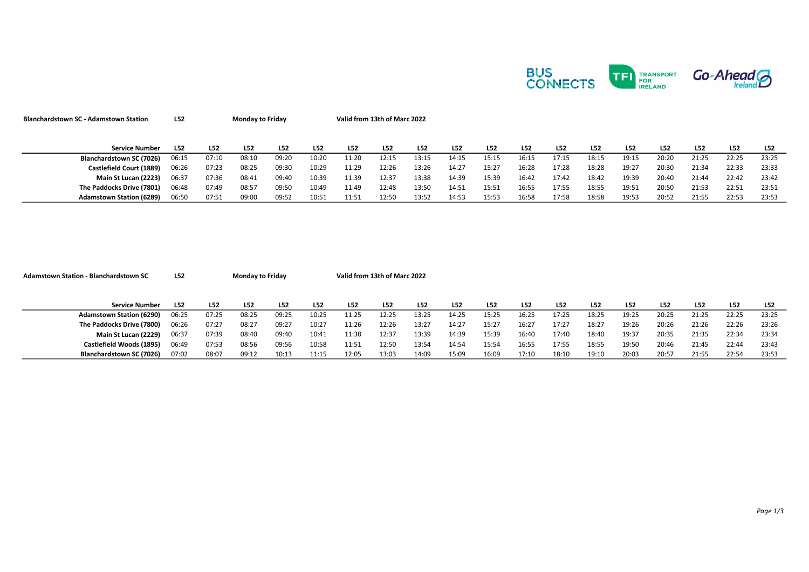

| <b>Blanchardstown SC - Adamstown Station</b> | L52   | <b>Monday to Friday</b> |       |       |       | Valid from 13th of Marc 2022 |       |       |       |       |       |       |       |       |       |       |       |       |
|----------------------------------------------|-------|-------------------------|-------|-------|-------|------------------------------|-------|-------|-------|-------|-------|-------|-------|-------|-------|-------|-------|-------|
|                                              |       |                         |       |       |       |                              |       |       |       |       |       |       |       |       |       |       |       |       |
| <b>Service Number</b>                        | L52   | L52                     | L52   | L52   | L52   | L52                          | L52   | L52   | L52   | L52   | L52   | L52   | L52   | L52   | L52   | L52   | L52   | L52   |
| Blanchardstown SC (7026)                     | 06:15 | 07:10                   | 08:10 | 09:20 | 10:20 | 11:20                        | 12:15 | 13:15 | 14:15 | 15:15 | 16:15 | 17:15 | 18:15 | 19:15 | 20:20 | 21:25 | 22:25 | 23:25 |
| Castlefield Court (1889)                     | 06:26 | 07:23                   | 08:25 | 09:30 | 10:29 | 11:29                        | 12:26 | 13:26 | 14:27 | 15:27 | 16:28 | 17:28 | 18:28 | 19:27 | 20:30 | 21:34 | 22:33 | 23:33 |
| Main St Lucan (2223)                         | 06:37 | 07:36                   | 08:41 | 09:40 | 10:39 | 11:39                        | 12:37 | 13:38 | 14:39 | 15:39 | 16:42 | 17:42 | 18:42 | 19:39 | 20:40 | 21:44 | 22:42 | 23:42 |
| The Paddocks Drive (7801)                    | 06:48 | 07:49                   | 08:57 | 09:50 | 10:49 | 11:49                        | 12:48 | 13:50 | 14:51 | 15:51 | 16:55 | 17:55 | 18:55 | 19:51 | 20:50 | 21:53 | 22:51 | 23:51 |
| <b>Adamstown Station (6289)</b>              | 06:50 | 07:51                   | 09:00 | 09:52 | 10:51 | 11:51                        | 12:50 | 13:52 | 14:53 | 15:53 | 16:58 | 17:58 | 18:58 | 19:53 | 20:52 | 21:55 | 22:53 | 23:53 |

Adamstown Station - Blanchardstown SC L52 Monday to Friday Valid from 13th of Marc 2022

| <b>Service Number</b>           | L52   | L52   | L52   | L52   | L52   | L52   | L52   | L52   | L52   | L52   | L52   | L52   | L52   | L52   | L52   | L52   | L52   | L52   |
|---------------------------------|-------|-------|-------|-------|-------|-------|-------|-------|-------|-------|-------|-------|-------|-------|-------|-------|-------|-------|
| <b>Adamstown Station (6290)</b> | 06:25 | 07:25 | 08:25 | 09:25 | 10:25 | 11:25 | 12:25 | 13:25 | 14:25 | 15:25 | 16:25 | 17:25 | 18:25 | 19:25 | 20:25 | 21:25 | 22:25 | 23:25 |
| The Paddocks Drive (7800)       | 06:26 | 07:27 | 08:27 | 09:27 | 10:27 | 11:26 | 12:26 | 13:27 | 14:27 | 15:27 | 16:27 | 17:27 | 18:27 | 19:26 | 20:26 | 21:26 | 22:26 | 23:26 |
| Main St Lucan (2229)            | 06:37 | 07:39 | 08:40 | 09:40 | 10:41 | 11:38 | 12:37 | 13:39 | 14:39 | 15:39 | 16:40 | 17:40 | 18:40 | 19:37 | 20:35 | 21:35 | 22:34 | 23:34 |
| Castlefield Woods (1895)        | 06:49 | 07:53 | 08:56 | 09:56 | 10:58 | 11:51 | 12:50 | 13:54 | 14:54 | 15:54 | 16:55 | 17:55 | 18:55 | 19:50 | 20:46 | 21:45 | 22:44 | 23:43 |
| Blanchardstown SC (7026)        | 07:02 | 08:07 | 09:12 | 10:13 | 11:15 | 12:05 | 13:03 | 14:09 | 15:09 | 16:09 | 17:10 | 18:10 | 19:10 | 20:03 | 20:57 | 21:55 | 22:54 | 23:53 |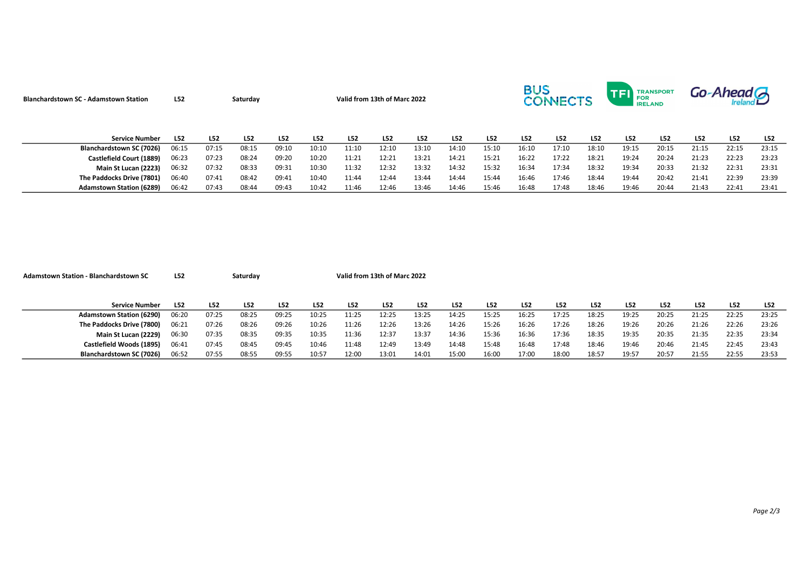| <b>Blanchardstown SC - Adamstown Station</b> | L52   | Saturday |       |       | Valid from 13th of Marc 2022 |       |       |       |       |       | <b>BUS</b> | <b>CONNECTS</b> |       | <b>THI</b> FOR | <b>TRANSPORT</b><br><b>IRELAND</b> | Go-Ahead A |       |       |
|----------------------------------------------|-------|----------|-------|-------|------------------------------|-------|-------|-------|-------|-------|------------|-----------------|-------|----------------|------------------------------------|------------|-------|-------|
| <b>Service Number</b>                        | L52   | L52      | L52   | L52   | L52                          | L52   | L52   | L52   | L52   | L52   | L52        | L52             | L52   | L52            | L52                                | L52        | L52   | L52   |
| <b>Blanchardstown SC (7026)</b>              | 06:15 | 07:15    | 08:15 | 09:10 | 10:10                        | 11:10 | 12:10 | 13:10 | 14:10 | 15:10 | 16:10      | 17:10           | 18:10 | 19:15          | 20:15                              | 21:15      | 22:15 | 23:15 |
| Castlefield Court (1889)                     | 06:23 | 07:23    | 08:24 | 09:20 | 10:20                        | 11:21 | 12:21 | 13:21 | 14:21 | 15:21 | 16:22      | 17:22           | 18:21 | 19:24          | 20:24                              | 21:23      | 22:23 | 23:23 |
| Main St Lucan (2223)                         | 06:32 | 07:32    | 08:33 | 09:31 | 10:30                        | 11:32 | 12:32 | 13:32 | 14:32 | 15:32 | 16:34      | 17:34           | 18:32 | 19:34          | 20:33                              | 21:32      | 22:31 | 23:31 |
| The Paddocks Drive (7801)                    | 06:40 | 07:41    | 08:42 | 09:41 | 10:40                        | 11:44 | 12:44 | 13:44 | 14:44 | 15:44 | 16:46      | 17:46           | 18:44 | 19:44          | 20:42                              | 21:41      | 22:39 | 23:39 |
| <b>Adamstown Station (6289)</b>              | 06:42 | 07:43    | 08:44 | 09:43 | 10:42                        | 11:46 | 12:46 | 13:46 | 14:46 | 15:46 | 16:48      | 17:48           | 18:46 | 19:46          | 20:44                              | 21:43      | 22:41 | 23:41 |

| <b>Adamstown Station - Blanchardstown SC</b> | L52   | Saturday |       |       |       |       | Valid from 13th of Marc 2022 |       |       |       |       |       |       |       |       |       |       |       |
|----------------------------------------------|-------|----------|-------|-------|-------|-------|------------------------------|-------|-------|-------|-------|-------|-------|-------|-------|-------|-------|-------|
|                                              |       |          |       |       |       |       |                              |       |       |       |       |       |       |       |       |       |       |       |
|                                              |       |          |       |       |       |       |                              |       |       |       |       |       |       |       |       |       |       |       |
| <b>Service Number</b>                        | L52   | L52      | L52   | L52   | L52   | L52   | L52                          | L52   | L52   | L52   | L52   | L52   | L52   | L52   | L52   | L52   | L52   | L52   |
| <b>Adamstown Station (6290)</b>              | 06:20 | 07:25    | 08:25 | 09:25 | 10:25 | 11:25 | 12:25                        | 13:25 | 14:25 | 15:25 | 16:25 | 17:25 | 18:25 | 19:25 | 20:25 | 21:25 | 22:25 | 23:25 |
| The Paddocks Drive (7800)                    | 06:21 | 07:26    | 08:26 | 09:26 | 10:26 | 11:26 | 12:26                        | 13:26 | 14:26 | 15:26 | 16:26 | 17:26 | 18:26 | 19:26 | 20:26 | 21:26 | 22:26 | 23:26 |
| Main St Lucan (2229)                         | 06:30 | 07:35    | 08:35 | 09:35 | 10:35 | 11:36 | 12:37                        | 13:37 | 14:36 | 15:36 | 16:36 | 17:36 | 18:35 | 19:35 | 20:35 | 21:35 | 22:35 | 23:34 |
| Castlefield Woods (1895)                     | 06:41 | 07:45    | 08:45 | 09:45 | 10:46 | 11:48 | 12:49                        | 13:49 | 14:48 | 15:48 | 16:48 | 17:48 | 18:46 | 19:46 | 20:46 | 21:45 | 22:45 | 23:43 |
| Blanchardstown SC (7026)                     | 06:52 | 07:55    | 08:55 | 09:55 | 10:57 | 12:00 | 13:01                        | 14:01 | 15:00 | 16:00 | 17:00 | 18:00 | 18:57 | 19:57 | 20:57 | 21:55 | 22:55 | 23:53 |